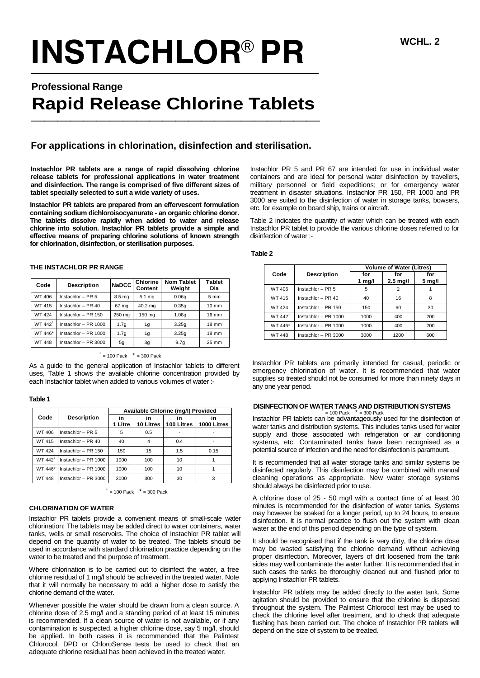# $\frac{\text{INSTACHLOR}^{\text{\tiny{\textregistered}}}}{\text{PR}}$

# **Professional Range**

# **Rapid Release Chlorine Tablets \_\_\_\_\_\_\_\_\_\_\_\_\_\_\_\_\_\_\_\_\_\_**

# **For applications in chlorination, disinfection and sterilisation.**

**Instachlor PR tablets are a range of rapid dissolving chlorine release tablets for professional applications in water treatment and disinfection. The range is comprised of five different sizes of tablet specially selected to suit a wide variety of uses.**

**Instachlor PR tablets are prepared from an effervescent formulation containing sodium dichloroisocyanurate - an organic chlorine donor. The tablets dissolve rapidly when added to water and release chlorine into solution. Instachlor PR tablets provide a simple and effective means of preparing chlorine solutions of known strength for chlorination, disinfection, or sterilisation purposes.**

| Code                | <b>Description</b>   | <b>NaDCC</b>      | Chlorine<br>Content | <b>Nom Tablet</b><br>Weight | <b>Tablet</b><br>Dia |
|---------------------|----------------------|-------------------|---------------------|-----------------------------|----------------------|
| WT 406              | Instachlor - PR 5    | 8.5 <sub>mg</sub> | 5.1 mg              | 0.06q                       | 5 mm                 |
| WT 415              | Instachlor - PR 40   | 67 mg             | 40.2 ma             | 0.35q                       | $10 \text{ mm}$      |
| <b>WT424</b>        | Instachlor - PR 150  | 250 mg            | 150 mg              | 1.08q                       | 16 mm                |
| WT 442 <sup>+</sup> | Instachlor - PR 1000 | 1.7g              | 1g                  | 3.25q                       | 18 mm                |

**THE INSTACHLOR PR RANGE**

## WT 448 Instachlor – PR 3000 5g 3g 9.7g 25 mm  $+$  = 100 Pack  $+$  = 300 Pack

 $WT 446*$  Instachlor – PR 1000 1.7g 1g 3.25g 18 mm

As a guide to the general application of Instachlor tablets to different uses, Table 1 shows the available chlorine concentration provided by each Instachlor tablet when added to various volumes of water :-

#### **Table 1**

|                     | <b>Description</b>   | Available Chlorine (mg/l) Provided |                 |                  |                   |
|---------------------|----------------------|------------------------------------|-----------------|------------------|-------------------|
| Code                |                      | in<br>1 Litre                      | in<br>10 Litres | ın<br>100 Litres | ın<br>1000 Litres |
| WT 406              | Instachlor - PR 5    | 5                                  | 0.5             |                  |                   |
| WT 415              | Instachlor - $PR$ 40 | 40                                 | 4               | 0.4              |                   |
| <b>WT424</b>        | Instachlor - PR 150  | 150                                | 15              | 1.5              | 0.15              |
| WT 442 <sup>+</sup> | Instachlor - PR 1000 | 1000                               | 100             | 10               |                   |
| WT 446*             | Instachlor - PR 1000 | 1000                               | 100             | 10               |                   |
| <b>WT448</b>        | Instachlor - PR 3000 | 3000                               | 300             | 30               | 3                 |

 $+$  = 100 Pack  $+$  = 300 Pack

#### **CHLORINATION OF WATER**

Instachlor PR tablets provide a convenient means of small-scale water chlorination: The tablets may be added direct to water containers, water tanks, wells or small reservoirs. The choice of Instachlor PR tablet will depend on the quantity of water to be treated. The tablets should be used in accordance with standard chlorination practice depending on the water to be treated and the purpose of treatment.

Where chlorination is to be carried out to disinfect the water, a free chlorine residual of 1 mg/l should be achieved in the treated water. Note that it will normally be necessary to add a higher dose to satisfy the chlorine demand of the water.

Whenever possible the water should be drawn from a clean source. A chlorine dose of 2.5 mg/l and a standing period of at least 15 minutes is recommended. If a clean source of water is not available, or if any contamination is suspected, a higher chlorine dose, say 5 mg/l, should be applied. In both cases it is recommended that the Palintest Chlorocol, DPD or ChloroSense tests be used to check that an adequate chlorine residual has been achieved in the treated water.

Instachlor PR 5 and PR 67 are intended for use in individual water containers and are ideal for personal water disinfection by travellers, military personnel or field expeditions; or for emergency water treatment in disaster situations. Instachlor PR 150, PR 1000 and PR 3000 are suited to the disinfection of water in storage tanks, bowsers, etc, for example on board ship, trains or aircraft.

Table 2 indicates the quantity of water which can be treated with each Instachlor PR tablet to provide the various chlorine doses referred to for disinfection of water :-

 **Table 2**

|                     | <b>Description</b>     |               | <b>Volume of Water (Litres)</b> |                         |  |  |
|---------------------|------------------------|---------------|---------------------------------|-------------------------|--|--|
| Code                |                        | for<br>1 mg/l | for<br>$2.5$ mg/l               | for<br>$5 \text{ mg/l}$ |  |  |
| WT 406              | Instachlor $-$ PR 5    | 5             | 2                               |                         |  |  |
| WT 415              | Instachlor - $PR$ 40   | 40            | 16                              | 8                       |  |  |
| <b>WT424</b>        | Instachlor - $PR$ 150  | 150           | 60                              | 30                      |  |  |
| WT 442 <sup>+</sup> | Instachlor - $PR$ 1000 | 1000          | 400                             | 200                     |  |  |
| WT 446*             | Instachlor - PR 1000   | 1000          | 400                             | 200                     |  |  |
| <b>WT448</b>        | Instachlor - $PR 3000$ | 3000          | 1200                            | 600                     |  |  |

Instachlor PR tablets are primarily intended for casual, periodic or emergency chlorination of water. It is recommended that water supplies so treated should not be consumed for more than ninety days in any one year period.

### **DISINFECTION OF WATER TANKS AND DISTRIBUTION SYSTEMS** +

<sup>+</sup> = 100 Pack  $*$  = 300 Pack<br>Instachlor PR tablets can be advantageously used for the disinfection of water tanks and distribution systems. This includes tanks used for water supply and those associated with refrigeration or air conditioning systems, etc. Contaminated tanks have been recognised as a potential source of infection and the need for disinfection is paramount.

It is recommended that all water storage tanks and similar systems be disinfected regularly. This disinfection may be combined with manual cleaning operations as appropriate. New water storage systems should always be disinfected prior to use.

A chlorine dose of 25 - 50 mg/l with a contact time of at least 30 minutes is recommended for the disinfection of water tanks. Systems may however be soaked for a longer period, up to 24 hours, to ensure disinfection. It is normal practice to flush out the system with clean water at the end of this period depending on the type of system.

It should be recognised that if the tank is very dirty, the chlorine dose may be wasted satisfying the chlorine demand without achieving proper disinfection. Moreover, layers of dirt loosened from the tank sides may well contaminate the water further. It is recommended that in such cases the tanks be thoroughly cleaned out and flushed prior to applying Instachlor PR tablets.

Instachlor PR tablets may be added directly to the water tank. Some agitation should be provided to ensure that the chlorine is dispersed throughout the system. The Palintest Chlorocol test may be used to check the chlorine level after treatment, and to check that adequate flushing has been carried out. The choice of Instachlor PR tablets will depend on the size of system to be treated.